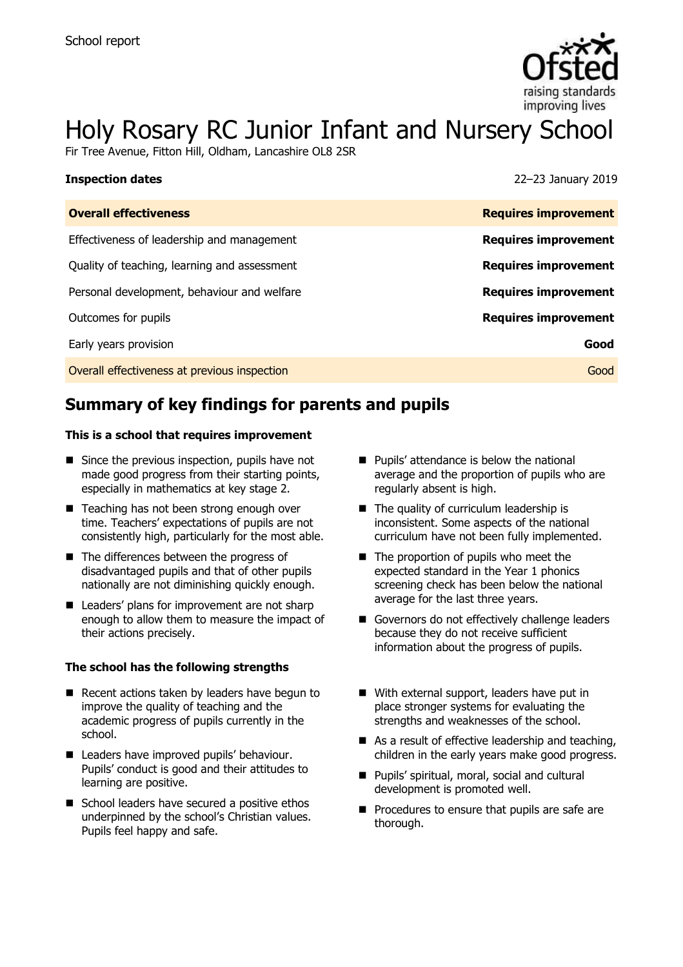

# Holy Rosary RC Junior Infant and Nursery School

Fir Tree Avenue, Fitton Hill, Oldham, Lancashire OL8 2SR

| <b>Inspection dates</b>                      | 22-23 January 2019          |
|----------------------------------------------|-----------------------------|
| <b>Overall effectiveness</b>                 | <b>Requires improvement</b> |
| Effectiveness of leadership and management   | <b>Requires improvement</b> |
| Quality of teaching, learning and assessment | <b>Requires improvement</b> |
| Personal development, behaviour and welfare  | <b>Requires improvement</b> |
| Outcomes for pupils                          | <b>Requires improvement</b> |
| Early years provision                        | Good                        |
| Overall effectiveness at previous inspection | Good                        |

# **Summary of key findings for parents and pupils**

#### **This is a school that requires improvement**

- Since the previous inspection, pupils have not made good progress from their starting points, especially in mathematics at key stage 2.
- Teaching has not been strong enough over time. Teachers' expectations of pupils are not consistently high, particularly for the most able.
- The differences between the progress of disadvantaged pupils and that of other pupils nationally are not diminishing quickly enough.
- Leaders' plans for improvement are not sharp enough to allow them to measure the impact of their actions precisely.

#### **The school has the following strengths**

- $\blacksquare$  Recent actions taken by leaders have begun to improve the quality of teaching and the academic progress of pupils currently in the school.
- Leaders have improved pupils' behaviour. Pupils' conduct is good and their attitudes to learning are positive.
- School leaders have secured a positive ethos underpinned by the school's Christian values. Pupils feel happy and safe.
- **Pupils'** attendance is below the national average and the proportion of pupils who are regularly absent is high.
- The quality of curriculum leadership is inconsistent. Some aspects of the national curriculum have not been fully implemented.
- The proportion of pupils who meet the expected standard in the Year 1 phonics screening check has been below the national average for the last three years.
- Governors do not effectively challenge leaders because they do not receive sufficient information about the progress of pupils.
- With external support, leaders have put in place stronger systems for evaluating the strengths and weaknesses of the school.
- $\blacksquare$  As a result of effective leadership and teaching, children in the early years make good progress.
- Pupils' spiritual, moral, social and cultural development is promoted well.
- $\blacksquare$  Procedures to ensure that pupils are safe are thorough.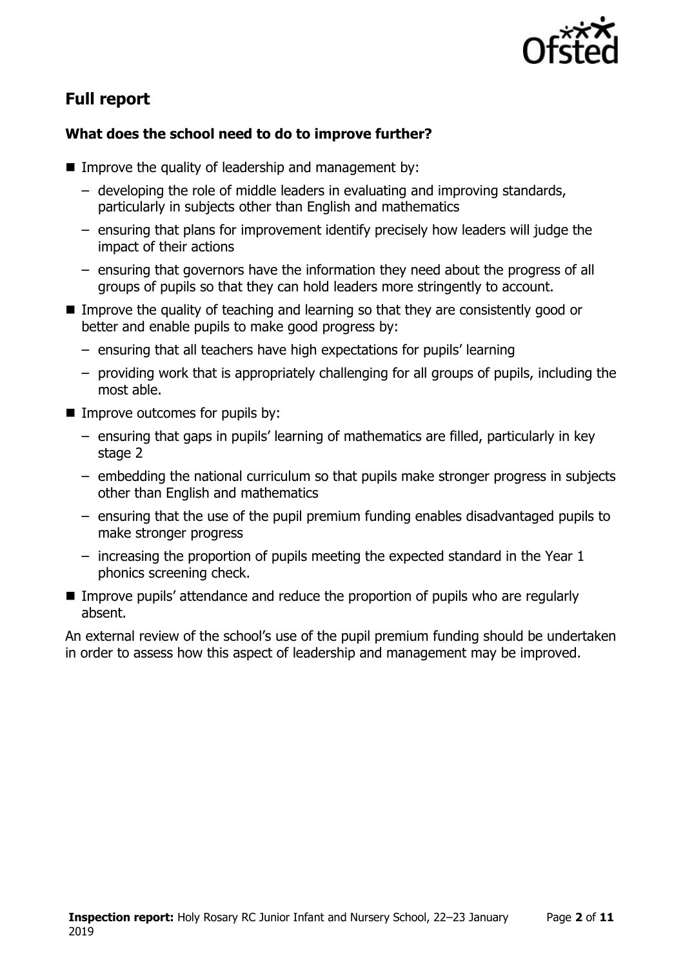

# **Full report**

### **What does the school need to do to improve further?**

- Improve the quality of leadership and management by:
	- developing the role of middle leaders in evaluating and improving standards, particularly in subjects other than English and mathematics
	- ensuring that plans for improvement identify precisely how leaders will judge the impact of their actions
	- ensuring that governors have the information they need about the progress of all groups of pupils so that they can hold leaders more stringently to account.
- Improve the quality of teaching and learning so that they are consistently good or better and enable pupils to make good progress by:
	- ensuring that all teachers have high expectations for pupils' learning
	- providing work that is appropriately challenging for all groups of pupils, including the most able.
- **IMPROVE OUTCOMES for pupils by:** 
	- ensuring that gaps in pupils' learning of mathematics are filled, particularly in key stage 2
	- embedding the national curriculum so that pupils make stronger progress in subjects other than English and mathematics
	- ensuring that the use of the pupil premium funding enables disadvantaged pupils to make stronger progress
	- increasing the proportion of pupils meeting the expected standard in the Year 1 phonics screening check.
- Improve pupils' attendance and reduce the proportion of pupils who are regularly absent.

An external review of the school's use of the pupil premium funding should be undertaken in order to assess how this aspect of leadership and management may be improved.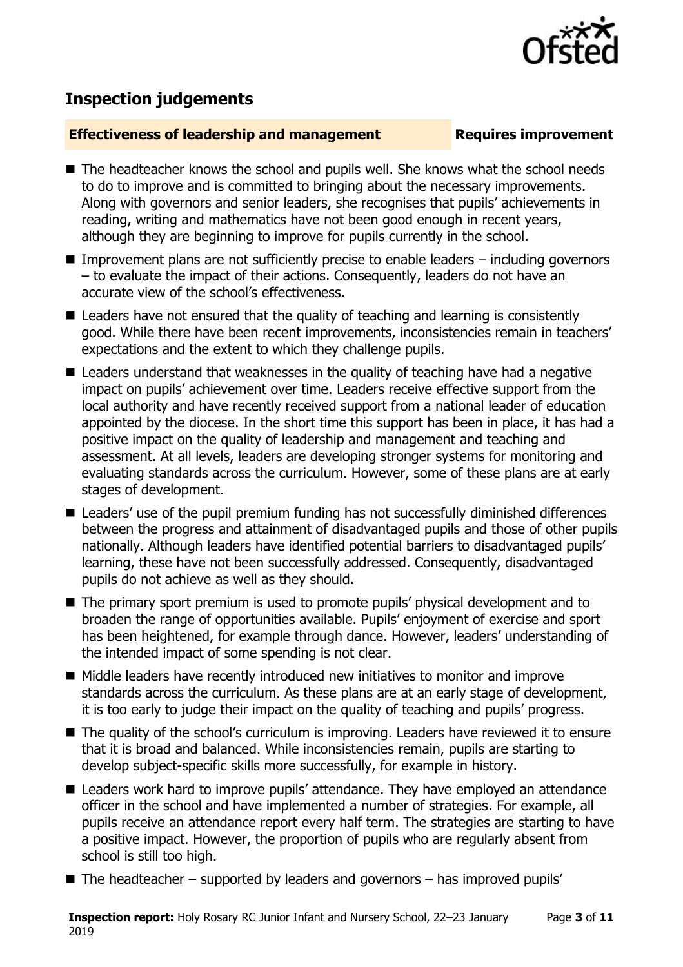

# **Inspection judgements**

#### **Effectiveness of leadership and management Requires improvement**

- The headteacher knows the school and pupils well. She knows what the school needs to do to improve and is committed to bringing about the necessary improvements. Along with governors and senior leaders, she recognises that pupils' achievements in reading, writing and mathematics have not been good enough in recent years, although they are beginning to improve for pupils currently in the school.
- Improvement plans are not sufficiently precise to enable leaders  $-$  including governors – to evaluate the impact of their actions. Consequently, leaders do not have an accurate view of the school's effectiveness.
- Leaders have not ensured that the quality of teaching and learning is consistently good. While there have been recent improvements, inconsistencies remain in teachers' expectations and the extent to which they challenge pupils.
- Leaders understand that weaknesses in the quality of teaching have had a negative impact on pupils' achievement over time. Leaders receive effective support from the local authority and have recently received support from a national leader of education appointed by the diocese. In the short time this support has been in place, it has had a positive impact on the quality of leadership and management and teaching and assessment. At all levels, leaders are developing stronger systems for monitoring and evaluating standards across the curriculum. However, some of these plans are at early stages of development.
- Leaders' use of the pupil premium funding has not successfully diminished differences between the progress and attainment of disadvantaged pupils and those of other pupils nationally. Although leaders have identified potential barriers to disadvantaged pupils' learning, these have not been successfully addressed. Consequently, disadvantaged pupils do not achieve as well as they should.
- The primary sport premium is used to promote pupils' physical development and to broaden the range of opportunities available. Pupils' enjoyment of exercise and sport has been heightened, for example through dance. However, leaders' understanding of the intended impact of some spending is not clear.
- Middle leaders have recently introduced new initiatives to monitor and improve standards across the curriculum. As these plans are at an early stage of development, it is too early to judge their impact on the quality of teaching and pupils' progress.
- The quality of the school's curriculum is improving. Leaders have reviewed it to ensure that it is broad and balanced. While inconsistencies remain, pupils are starting to develop subject-specific skills more successfully, for example in history.
- Leaders work hard to improve pupils' attendance. They have employed an attendance officer in the school and have implemented a number of strategies. For example, all pupils receive an attendance report every half term. The strategies are starting to have a positive impact. However, the proportion of pupils who are regularly absent from school is still too high.
- $\blacksquare$  The headteacher supported by leaders and governors has improved pupils'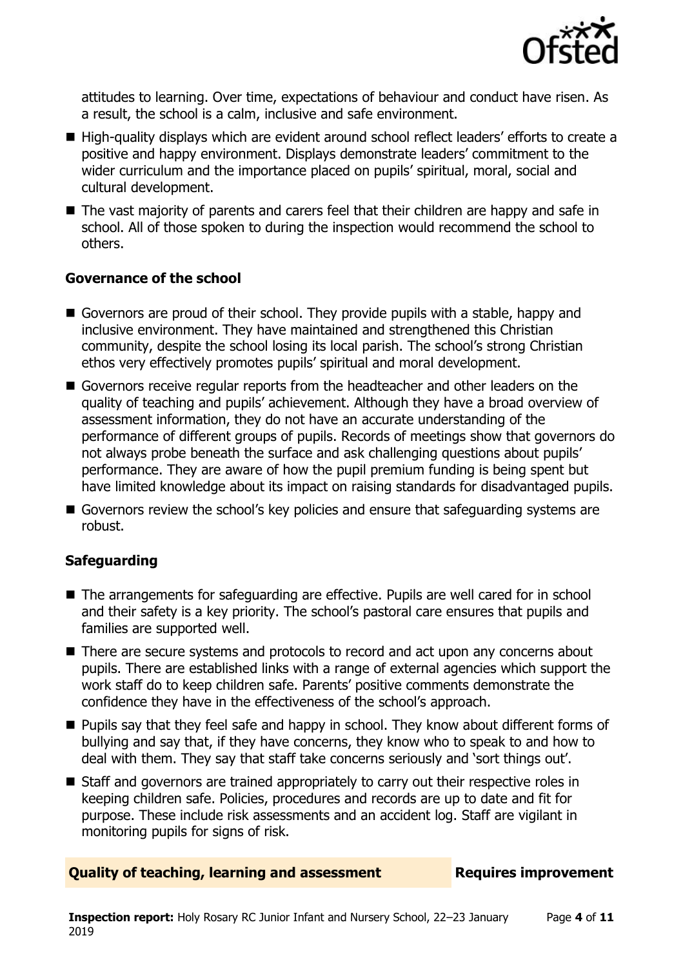

attitudes to learning. Over time, expectations of behaviour and conduct have risen. As a result, the school is a calm, inclusive and safe environment.

- High-quality displays which are evident around school reflect leaders' efforts to create a positive and happy environment. Displays demonstrate leaders' commitment to the wider curriculum and the importance placed on pupils' spiritual, moral, social and cultural development.
- The vast majority of parents and carers feel that their children are happy and safe in school. All of those spoken to during the inspection would recommend the school to others.

#### **Governance of the school**

- Governors are proud of their school. They provide pupils with a stable, happy and inclusive environment. They have maintained and strengthened this Christian community, despite the school losing its local parish. The school's strong Christian ethos very effectively promotes pupils' spiritual and moral development.
- Governors receive regular reports from the headteacher and other leaders on the quality of teaching and pupils' achievement. Although they have a broad overview of assessment information, they do not have an accurate understanding of the performance of different groups of pupils. Records of meetings show that governors do not always probe beneath the surface and ask challenging questions about pupils' performance. They are aware of how the pupil premium funding is being spent but have limited knowledge about its impact on raising standards for disadvantaged pupils.
- Governors review the school's key policies and ensure that safeguarding systems are robust.

### **Safeguarding**

- The arrangements for safeguarding are effective. Pupils are well cared for in school and their safety is a key priority. The school's pastoral care ensures that pupils and families are supported well.
- There are secure systems and protocols to record and act upon any concerns about pupils. There are established links with a range of external agencies which support the work staff do to keep children safe. Parents' positive comments demonstrate the confidence they have in the effectiveness of the school's approach.
- **Pupils say that they feel safe and happy in school. They know about different forms of** bullying and say that, if they have concerns, they know who to speak to and how to deal with them. They say that staff take concerns seriously and 'sort things out'.
- Staff and governors are trained appropriately to carry out their respective roles in keeping children safe. Policies, procedures and records are up to date and fit for purpose. These include risk assessments and an accident log. Staff are vigilant in monitoring pupils for signs of risk.

#### **Quality of teaching, learning and assessment Fig. 2.1 Requires improvement**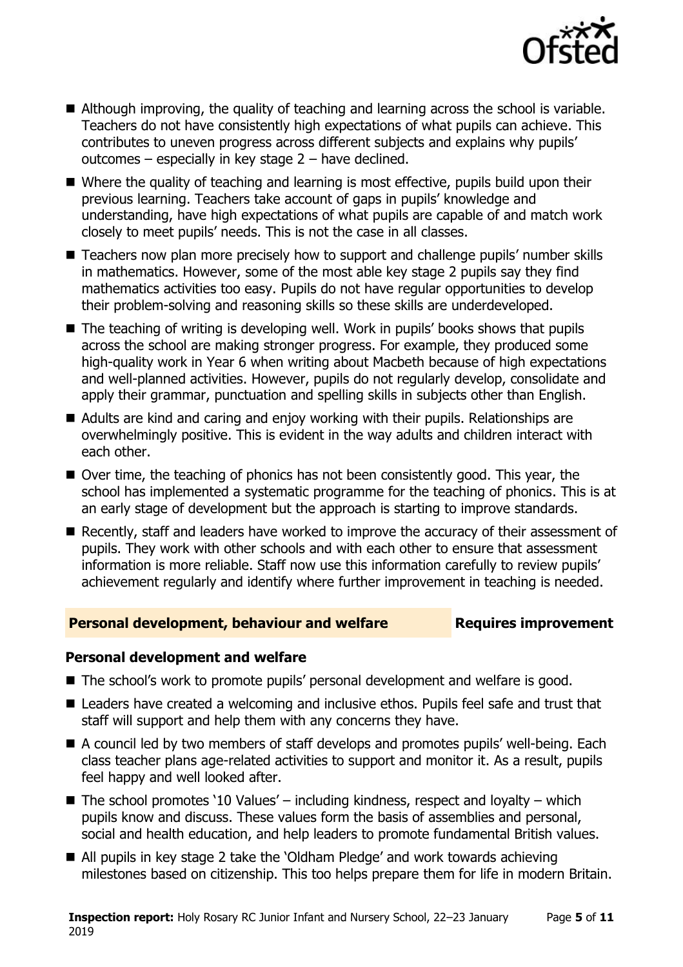

- Although improving, the quality of teaching and learning across the school is variable. Teachers do not have consistently high expectations of what pupils can achieve. This contributes to uneven progress across different subjects and explains why pupils' outcomes  $-$  especially in key stage  $2 -$  have declined.
- Where the quality of teaching and learning is most effective, pupils build upon their previous learning. Teachers take account of gaps in pupils' knowledge and understanding, have high expectations of what pupils are capable of and match work closely to meet pupils' needs. This is not the case in all classes.
- Teachers now plan more precisely how to support and challenge pupils' number skills in mathematics. However, some of the most able key stage 2 pupils say they find mathematics activities too easy. Pupils do not have regular opportunities to develop their problem-solving and reasoning skills so these skills are underdeveloped.
- The teaching of writing is developing well. Work in pupils' books shows that pupils across the school are making stronger progress. For example, they produced some high-quality work in Year 6 when writing about Macbeth because of high expectations and well-planned activities. However, pupils do not regularly develop, consolidate and apply their grammar, punctuation and spelling skills in subjects other than English.
- Adults are kind and caring and enjoy working with their pupils. Relationships are overwhelmingly positive. This is evident in the way adults and children interact with each other.
- Over time, the teaching of phonics has not been consistently good. This year, the school has implemented a systematic programme for the teaching of phonics. This is at an early stage of development but the approach is starting to improve standards.
- Recently, staff and leaders have worked to improve the accuracy of their assessment of pupils. They work with other schools and with each other to ensure that assessment information is more reliable. Staff now use this information carefully to review pupils' achievement regularly and identify where further improvement in teaching is needed.

### **Personal development, behaviour and welfare Fig. 2.1 Requires improvement**

### **Personal development and welfare**

- The school's work to promote pupils' personal development and welfare is good.
- Leaders have created a welcoming and inclusive ethos. Pupils feel safe and trust that staff will support and help them with any concerns they have.
- A council led by two members of staff develops and promotes pupils' well-being. Each class teacher plans age-related activities to support and monitor it. As a result, pupils feel happy and well looked after.
- $\blacksquare$  The school promotes '10 Values' including kindness, respect and loyalty which pupils know and discuss. These values form the basis of assemblies and personal, social and health education, and help leaders to promote fundamental British values.
- All pupils in key stage 2 take the 'Oldham Pledge' and work towards achieving milestones based on citizenship. This too helps prepare them for life in modern Britain.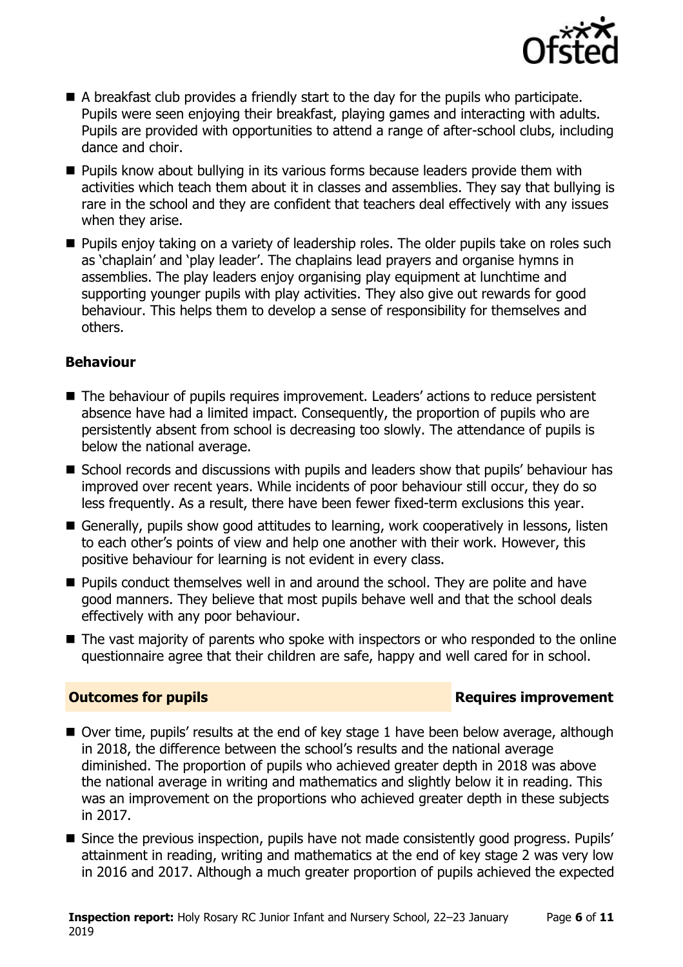

- A breakfast club provides a friendly start to the day for the pupils who participate. Pupils were seen enjoying their breakfast, playing games and interacting with adults. Pupils are provided with opportunities to attend a range of after-school clubs, including dance and choir.
- Pupils know about bullying in its various forms because leaders provide them with activities which teach them about it in classes and assemblies. They say that bullying is rare in the school and they are confident that teachers deal effectively with any issues when they arise.
- **Pupils enjoy taking on a variety of leadership roles. The older pupils take on roles such** as 'chaplain' and 'play leader'. The chaplains lead prayers and organise hymns in assemblies. The play leaders enjoy organising play equipment at lunchtime and supporting younger pupils with play activities. They also give out rewards for good behaviour. This helps them to develop a sense of responsibility for themselves and others.

### **Behaviour**

- The behaviour of pupils requires improvement. Leaders' actions to reduce persistent absence have had a limited impact. Consequently, the proportion of pupils who are persistently absent from school is decreasing too slowly. The attendance of pupils is below the national average.
- School records and discussions with pupils and leaders show that pupils' behaviour has improved over recent years. While incidents of poor behaviour still occur, they do so less frequently. As a result, there have been fewer fixed-term exclusions this year.
- Generally, pupils show good attitudes to learning, work cooperatively in lessons, listen to each other's points of view and help one another with their work. However, this positive behaviour for learning is not evident in every class.
- **Pupils conduct themselves well in and around the school. They are polite and have** good manners. They believe that most pupils behave well and that the school deals effectively with any poor behaviour.
- The vast majority of parents who spoke with inspectors or who responded to the online questionnaire agree that their children are safe, happy and well cared for in school.

### **Outcomes for pupils Requires improvement**

- Over time, pupils' results at the end of key stage 1 have been below average, although in 2018, the difference between the school's results and the national average diminished. The proportion of pupils who achieved greater depth in 2018 was above the national average in writing and mathematics and slightly below it in reading. This was an improvement on the proportions who achieved greater depth in these subjects in 2017.
- Since the previous inspection, pupils have not made consistently good progress. Pupils' attainment in reading, writing and mathematics at the end of key stage 2 was very low in 2016 and 2017. Although a much greater proportion of pupils achieved the expected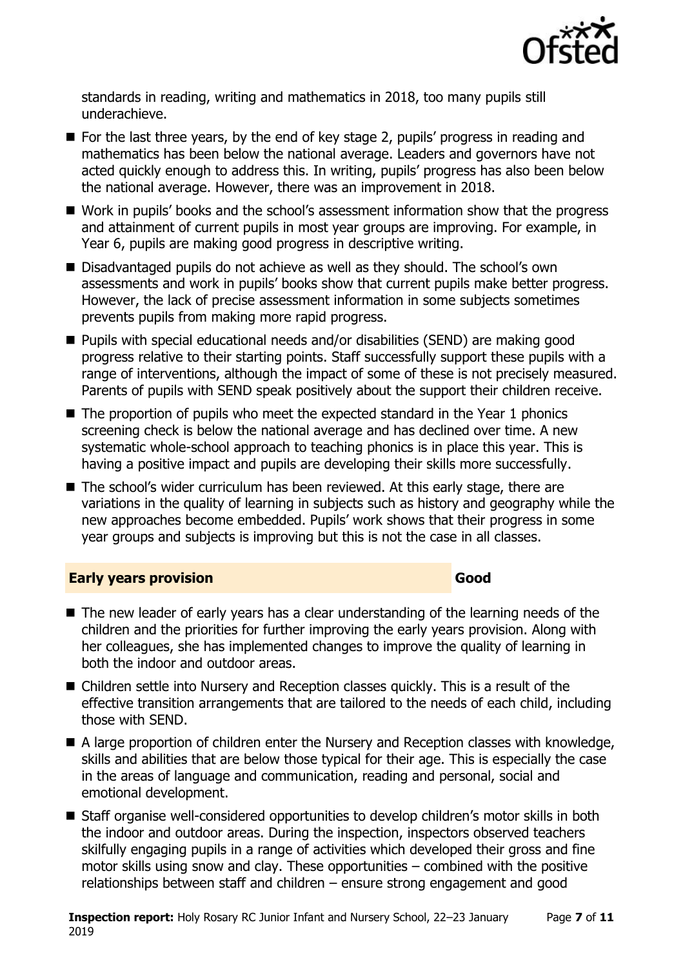

standards in reading, writing and mathematics in 2018, too many pupils still underachieve.

- For the last three years, by the end of key stage 2, pupils' progress in reading and mathematics has been below the national average. Leaders and governors have not acted quickly enough to address this. In writing, pupils' progress has also been below the national average. However, there was an improvement in 2018.
- Work in pupils' books and the school's assessment information show that the progress and attainment of current pupils in most year groups are improving. For example, in Year 6, pupils are making good progress in descriptive writing.
- Disadvantaged pupils do not achieve as well as they should. The school's own assessments and work in pupils' books show that current pupils make better progress. However, the lack of precise assessment information in some subjects sometimes prevents pupils from making more rapid progress.
- Pupils with special educational needs and/or disabilities (SEND) are making good progress relative to their starting points. Staff successfully support these pupils with a range of interventions, although the impact of some of these is not precisely measured. Parents of pupils with SEND speak positively about the support their children receive.
- The proportion of pupils who meet the expected standard in the Year 1 phonics screening check is below the national average and has declined over time. A new systematic whole-school approach to teaching phonics is in place this year. This is having a positive impact and pupils are developing their skills more successfully.
- The school's wider curriculum has been reviewed. At this early stage, there are variations in the quality of learning in subjects such as history and geography while the new approaches become embedded. Pupils' work shows that their progress in some year groups and subjects is improving but this is not the case in all classes.

### **Early years provision Good Good**

- The new leader of early years has a clear understanding of the learning needs of the children and the priorities for further improving the early years provision. Along with her colleagues, she has implemented changes to improve the quality of learning in both the indoor and outdoor areas.
- Children settle into Nursery and Reception classes quickly. This is a result of the effective transition arrangements that are tailored to the needs of each child, including those with SEND.
- A large proportion of children enter the Nursery and Reception classes with knowledge, skills and abilities that are below those typical for their age. This is especially the case in the areas of language and communication, reading and personal, social and emotional development.
- Staff organise well-considered opportunities to develop children's motor skills in both the indoor and outdoor areas. During the inspection, inspectors observed teachers skilfully engaging pupils in a range of activities which developed their gross and fine motor skills using snow and clay. These opportunities – combined with the positive relationships between staff and children – ensure strong engagement and good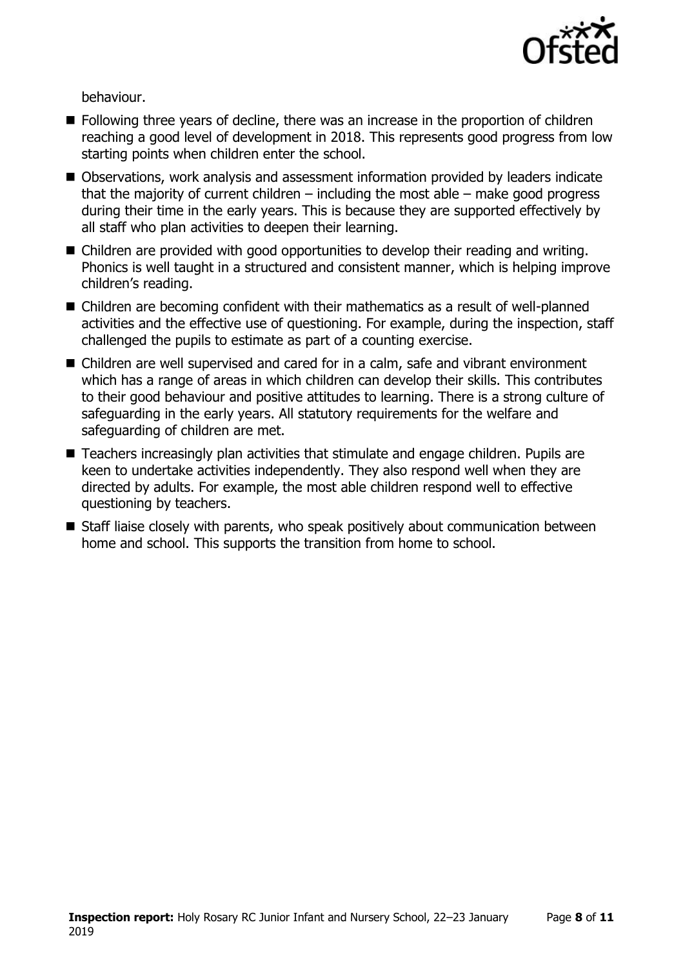

behaviour.

- **Following three years of decline, there was an increase in the proportion of children** reaching a good level of development in 2018. This represents good progress from low starting points when children enter the school.
- Observations, work analysis and assessment information provided by leaders indicate that the majority of current children  $-$  including the most able  $-$  make good progress during their time in the early years. This is because they are supported effectively by all staff who plan activities to deepen their learning.
- Children are provided with good opportunities to develop their reading and writing. Phonics is well taught in a structured and consistent manner, which is helping improve children's reading.
- Children are becoming confident with their mathematics as a result of well-planned activities and the effective use of questioning. For example, during the inspection, staff challenged the pupils to estimate as part of a counting exercise.
- Children are well supervised and cared for in a calm, safe and vibrant environment which has a range of areas in which children can develop their skills. This contributes to their good behaviour and positive attitudes to learning. There is a strong culture of safeguarding in the early years. All statutory requirements for the welfare and safeguarding of children are met.
- Teachers increasingly plan activities that stimulate and engage children. Pupils are keen to undertake activities independently. They also respond well when they are directed by adults. For example, the most able children respond well to effective questioning by teachers.
- Staff liaise closely with parents, who speak positively about communication between home and school. This supports the transition from home to school.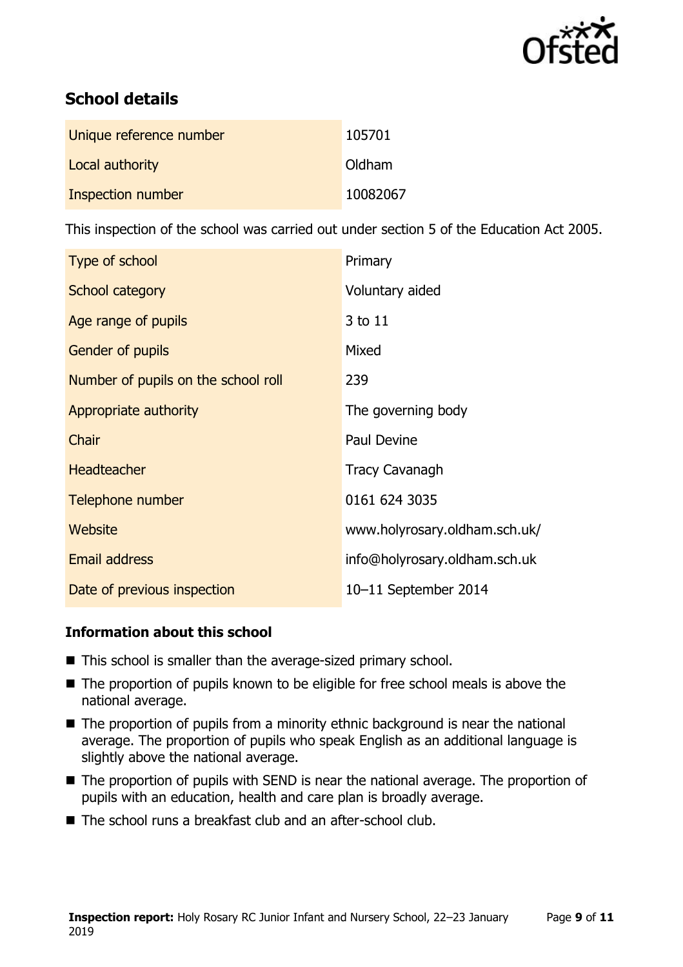

# **School details**

| Unique reference number | 105701   |
|-------------------------|----------|
| Local authority         | Oldham   |
| Inspection number       | 10082067 |

This inspection of the school was carried out under section 5 of the Education Act 2005.

| Type of school                      | Primary                       |
|-------------------------------------|-------------------------------|
| School category                     | Voluntary aided               |
| Age range of pupils                 | 3 to 11                       |
| <b>Gender of pupils</b>             | Mixed                         |
| Number of pupils on the school roll | 239                           |
| Appropriate authority               | The governing body            |
| Chair                               | Paul Devine                   |
| <b>Headteacher</b>                  | <b>Tracy Cavanagh</b>         |
| Telephone number                    | 0161 624 3035                 |
| Website                             | www.holyrosary.oldham.sch.uk/ |
| <b>Email address</b>                | info@holyrosary.oldham.sch.uk |
| Date of previous inspection         | 10-11 September 2014          |

### **Information about this school**

- This school is smaller than the average-sized primary school.
- The proportion of pupils known to be eligible for free school meals is above the national average.
- $\blacksquare$  The proportion of pupils from a minority ethnic background is near the national average. The proportion of pupils who speak English as an additional language is slightly above the national average.
- The proportion of pupils with SEND is near the national average. The proportion of pupils with an education, health and care plan is broadly average.
- The school runs a breakfast club and an after-school club.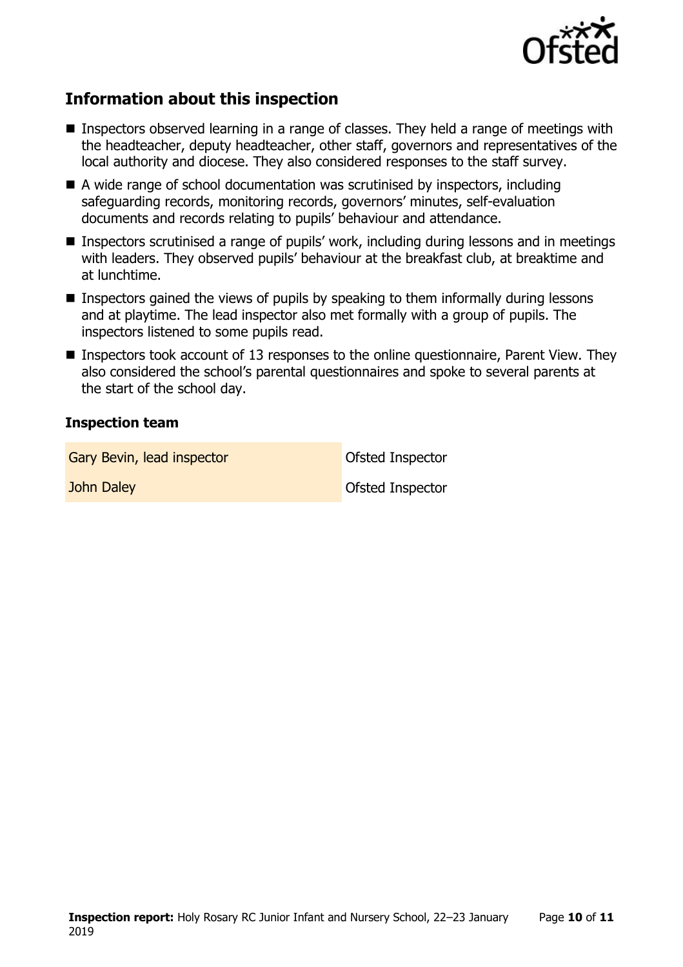

# **Information about this inspection**

- Inspectors observed learning in a range of classes. They held a range of meetings with the headteacher, deputy headteacher, other staff, governors and representatives of the local authority and diocese. They also considered responses to the staff survey.
- A wide range of school documentation was scrutinised by inspectors, including safeguarding records, monitoring records, governors' minutes, self-evaluation documents and records relating to pupils' behaviour and attendance.
- Inspectors scrutinised a range of pupils' work, including during lessons and in meetings with leaders. They observed pupils' behaviour at the breakfast club, at breaktime and at lunchtime.
- **Inspectors gained the views of pupils by speaking to them informally during lessons** and at playtime. The lead inspector also met formally with a group of pupils. The inspectors listened to some pupils read.
- **Inspectors took account of 13 responses to the online questionnaire, Parent View. They** also considered the school's parental questionnaires and spoke to several parents at the start of the school day.

### **Inspection team**

Gary Bevin, lead inspector **Cary Bevin, lead inspector Cary Bevine Inspector** 

**John Daley Contract Contract Contract Contract Contract Contract Contract Contract Contract Contract Contract Contract Contract Contract Contract Contract Contract Contract Contract Contract Contract Contract Contract Con**